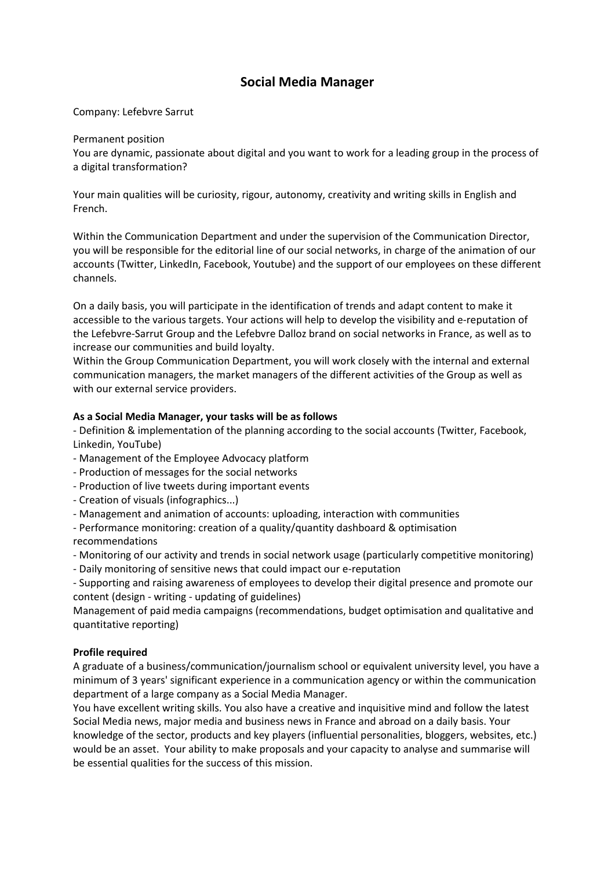## **Social Media Manager**

Company: Lefebvre Sarrut

## Permanent position

You are dynamic, passionate about digital and you want to work for a leading group in the process of a digital transformation?

Your main qualities will be curiosity, rigour, autonomy, creativity and writing skills in English and French.

Within the Communication Department and under the supervision of the Communication Director, you will be responsible for the editorial line of our social networks, in charge of the animation of our accounts (Twitter, LinkedIn, Facebook, Youtube) and the support of our employees on these different channels.

On a daily basis, you will participate in the identification of trends and adapt content to make it accessible to the various targets. Your actions will help to develop the visibility and e-reputation of the Lefebvre-Sarrut Group and the Lefebvre Dalloz brand on social networks in France, as well as to increase our communities and build loyalty.

Within the Group Communication Department, you will work closely with the internal and external communication managers, the market managers of the different activities of the Group as well as with our external service providers.

## **As a Social Media Manager, your tasks will be as follows**

- Definition & implementation of the planning according to the social accounts (Twitter, Facebook, Linkedin, YouTube)

- Management of the Employee Advocacy platform
- Production of messages for the social networks
- Production of live tweets during important events
- Creation of visuals (infographics...)
- Management and animation of accounts: uploading, interaction with communities
- Performance monitoring: creation of a quality/quantity dashboard & optimisation recommendations

- Monitoring of our activity and trends in social network usage (particularly competitive monitoring)

- Daily monitoring of sensitive news that could impact our e-reputation

- Supporting and raising awareness of employees to develop their digital presence and promote our content (design - writing - updating of guidelines)

Management of paid media campaigns (recommendations, budget optimisation and qualitative and quantitative reporting)

## **Profile required**

A graduate of a business/communication/journalism school or equivalent university level, you have a minimum of 3 years' significant experience in a communication agency or within the communication department of a large company as a Social Media Manager.

You have excellent writing skills. You also have a creative and inquisitive mind and follow the latest Social Media news, major media and business news in France and abroad on a daily basis. Your knowledge of the sector, products and key players (influential personalities, bloggers, websites, etc.) would be an asset. Your ability to make proposals and your capacity to analyse and summarise will be essential qualities for the success of this mission.